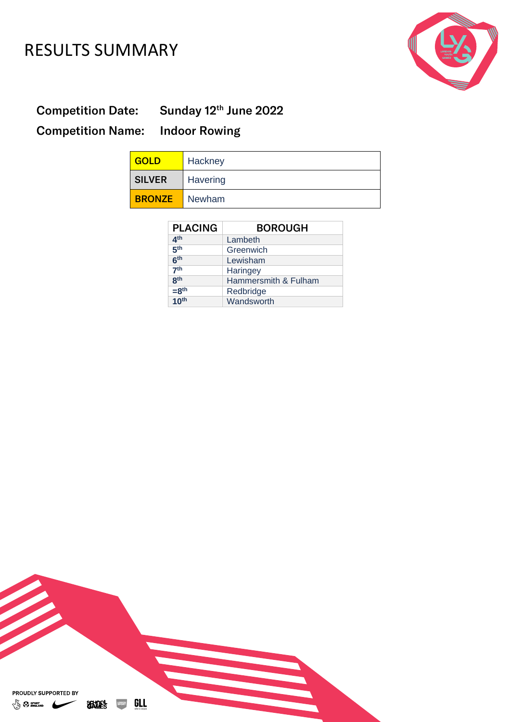### RESULTS SUMMARY



Competition Date: Sunday 12<sup>th</sup> June 2022

Competition Name: Indoor Rowing

| <b>GOLD</b>   | Hackney  |
|---------------|----------|
| <b>SILVER</b> | Havering |
| <b>BRONZE</b> | Newham   |

| <b>PLACING</b>   | <b>BOROUGH</b>       |
|------------------|----------------------|
| 4 <sup>th</sup>  | Lambeth              |
| 5 <sup>th</sup>  | Greenwich            |
| 6 <sup>th</sup>  | Lewisham             |
| 7 <sup>th</sup>  | Haringey             |
| <b>8th</b>       | Hammersmith & Fulham |
| $=8th$           | Redbridge            |
| 10 <sup>th</sup> | Wandsworth           |

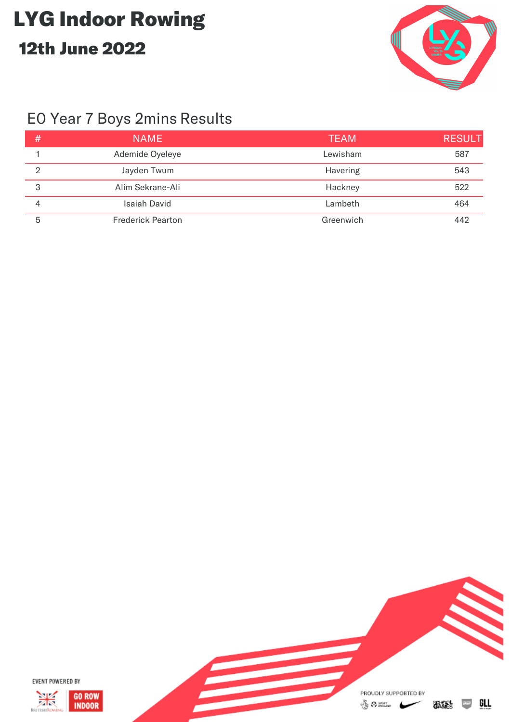

### E0 Year 7 Boys 2mins Results

| # | <b>NAME</b>              | <b>TEAM</b> | <b>RESULT</b> |
|---|--------------------------|-------------|---------------|
|   | Ademide Oyeleye          | Lewisham    | 587           |
| റ | Jayden Twum              | Havering    | 543           |
| 3 | Alim Sekrane-Ali         | Hackney     | 522           |
| 4 | <b>Isaiah David</b>      | Lambeth     | 464           |
| 5 | <b>Frederick Pearton</b> | Greenwich   | 442           |

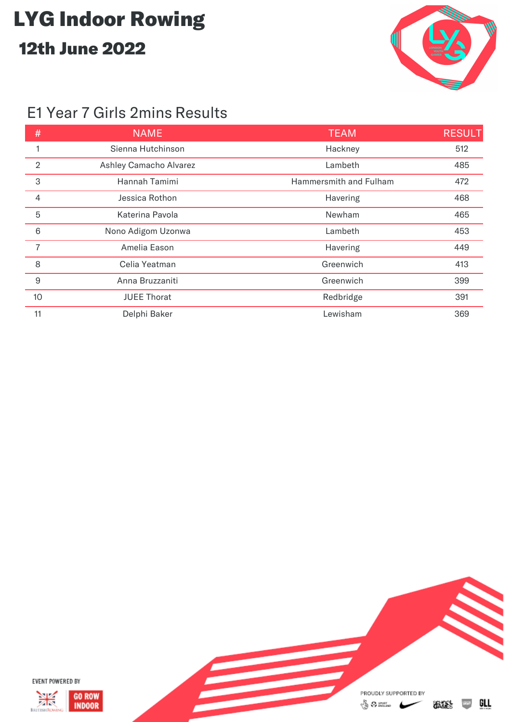

#### E1 Year 7 Girls 2mins Results

| #              | <b>NAME</b>            | <b>TEAM</b>            | <b>RESULT</b> |
|----------------|------------------------|------------------------|---------------|
|                | Sienna Hutchinson      | Hackney                | 512           |
| $\overline{2}$ | Ashley Camacho Alvarez | Lambeth                | 485           |
| 3              | Hannah Tamimi          | Hammersmith and Fulham | 472           |
| $\overline{4}$ | Jessica Rothon         | Havering               | 468           |
| 5              | Katerina Pavola        | Newham                 | 465           |
| 6              | Nono Adigom Uzonwa     | Lambeth                | 453           |
| $\overline{7}$ | Amelia Eason           | Havering               | 449           |
| 8              | Celia Yeatman          | Greenwich              | 413           |
| 9              | Anna Bruzzaniti        | Greenwich              | 399           |
| 10             | <b>JUEE Thorat</b>     | Redbridge              | 391           |
| 11             | Delphi Baker           | Lewisham               | 369           |

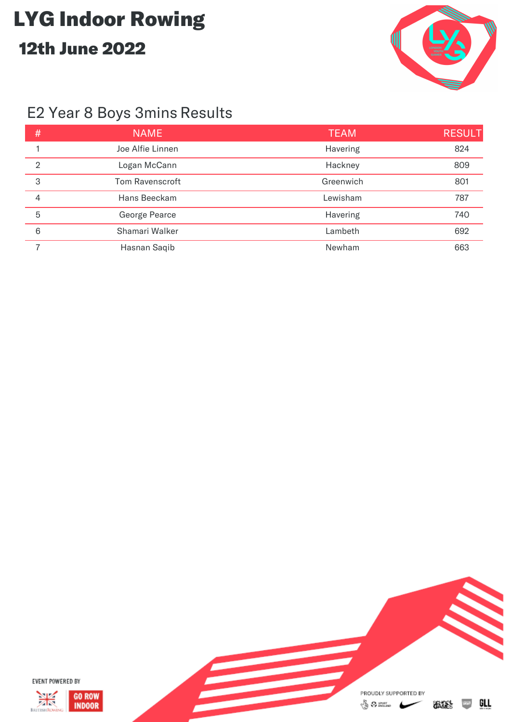

### E2 Year 8 Boys 3mins Results

| #              | <b>NAME</b>      | <b>TEAM</b> | <b>RESULT</b> |
|----------------|------------------|-------------|---------------|
|                | Joe Alfie Linnen | Havering    | 824           |
| $\overline{2}$ | Logan McCann     | Hackney     | 809           |
| 3              | Tom Ravenscroft  | Greenwich   | 801           |
| 4              | Hans Beeckam     | Lewisham    | 787           |
| 5              | George Pearce    | Havering    | 740           |
| 6              | Shamari Walker   | Lambeth     | 692           |
|                | Hasnan Saqib     | Newham      | 663           |

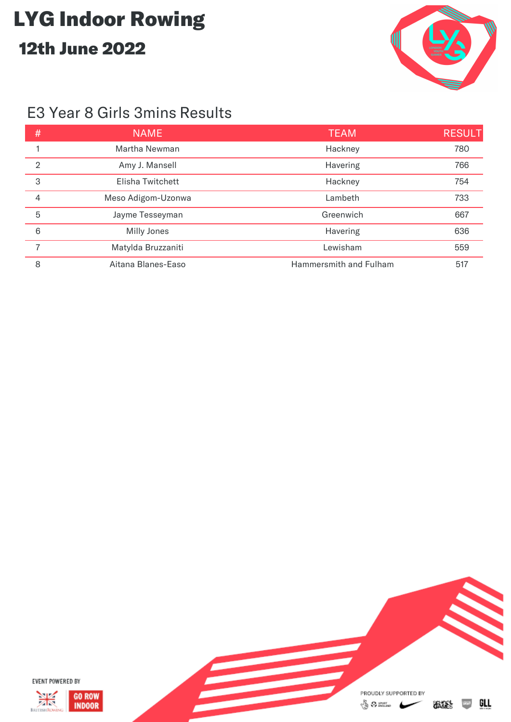

#### E3 Year 8 Girls 3mins Results

| #              | <b>NAME</b>        | <b>TEAM</b>            | <b>RESULT</b> |
|----------------|--------------------|------------------------|---------------|
|                | Martha Newman      | Hackney                | 780           |
| $\mathfrak{D}$ | Amy J. Mansell     | Havering               | 766           |
| 3              | Elisha Twitchett   | Hackney                | 754           |
| 4              | Meso Adigom-Uzonwa | Lambeth                | 733           |
| 5              | Jayme Tesseyman    | Greenwich              | 667           |
| 6              | Milly Jones        | Havering               | 636           |
|                | Matylda Bruzzaniti | Lewisham               | 559           |
| 8              | Aitana Blanes-Easo | Hammersmith and Fulham | 517           |

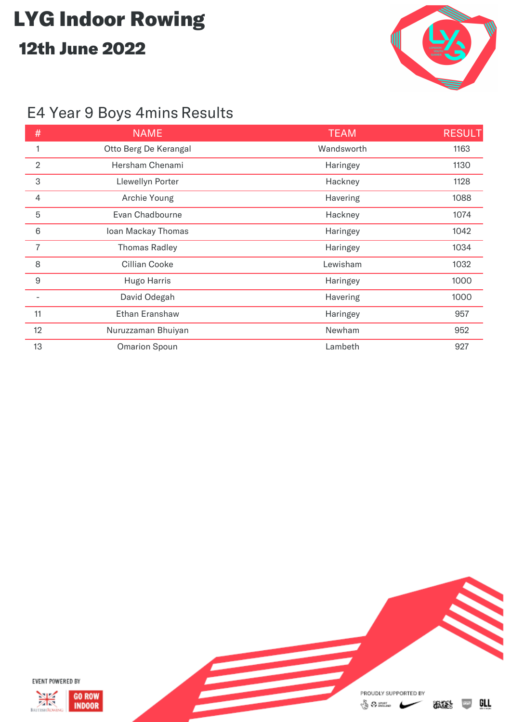

### E4 Year 9 Boys 4mins Results

| #              | <b>NAME</b>           | <b>TEAM</b> | <b>RESULT</b> |
|----------------|-----------------------|-------------|---------------|
|                | Otto Berg De Kerangal | Wandsworth  | 1163          |
| $\overline{2}$ | Hersham Chenami       | Haringey    | 1130          |
| $\,3$          | Llewellyn Porter      | Hackney     | 1128          |
| 4              | Archie Young          | Havering    | 1088          |
| $\overline{5}$ | Evan Chadbourne       | Hackney     | 1074          |
| $6\,$          | Ioan Mackay Thomas    | Haringey    | 1042          |
| $\overline{7}$ | <b>Thomas Radley</b>  | Haringey    | 1034          |
| 8              | Cillian Cooke         | Lewisham    | 1032          |
| $9$            | Hugo Harris           | Haringey    | 1000          |
|                | David Odegah          | Havering    | 1000          |
| 11             | Ethan Eranshaw        | Haringey    | 957           |
| 12             | Nuruzzaman Bhuiyan    | Newham      | 952           |
| 13             | <b>Omarion Spoun</b>  | Lambeth     | 927           |

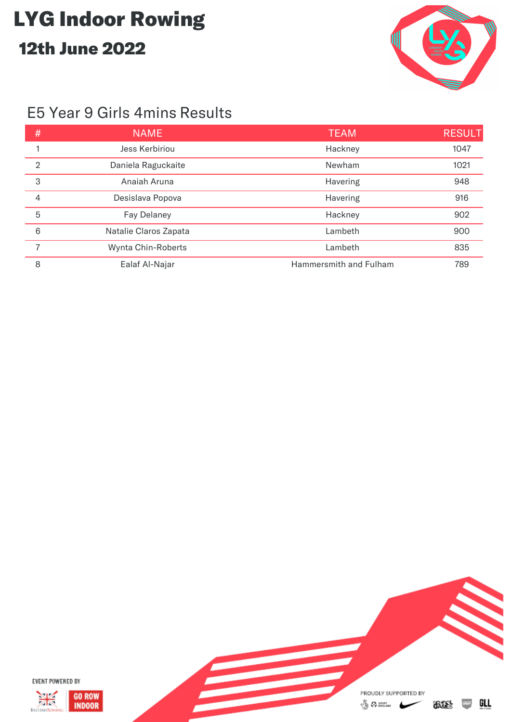

#### E5 Year 9 Girls 4mins Results

| #              | <b>NAME</b>           | <b>TEAM</b>            | <b>RESULT</b> |
|----------------|-----------------------|------------------------|---------------|
|                | Jess Kerbiriou        | Hackney                | 1047          |
| $\overline{2}$ | Daniela Raguckaite    | Newham                 | 1021          |
| 3              | Anaiah Aruna          | Havering               | 948           |
| 4              | Desislava Popova      | Havering               | 916           |
| 5              | <b>Fay Delaney</b>    | Hackney                | 902           |
| 6              | Natalie Claros Zapata | Lambeth                | 900           |
| 7              | Wynta Chin-Roberts    | Lambeth                | 835           |
| 8              | Ealaf Al-Najar        | Hammersmith and Fulham | 789           |

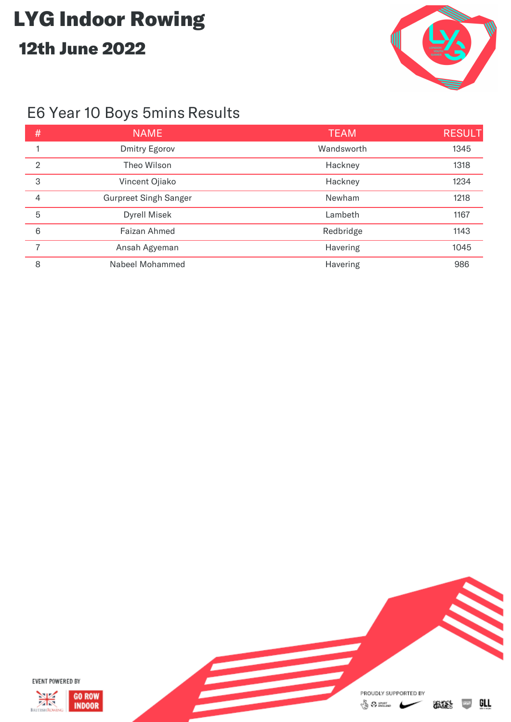

### E6 Year 10 Boys 5mins Results

| #              | <b>NAME</b>                  | <b>TEAM</b> | <b>RESULT</b> |
|----------------|------------------------------|-------------|---------------|
|                | <b>Dmitry Egorov</b>         | Wandsworth  | 1345          |
| $\overline{2}$ | Theo Wilson                  | Hackney     | 1318          |
| 3              | Vincent Ojiako               | Hackney     | 1234          |
| 4              | <b>Gurpreet Singh Sanger</b> | Newham      | 1218          |
| 5              | <b>Dyrell Misek</b>          | Lambeth     | 1167          |
| 6              | Faizan Ahmed                 | Redbridge   | 1143          |
| 7              | Ansah Agyeman                | Havering    | 1045          |
| 8              | Nabeel Mohammed              | Havering    | 986           |

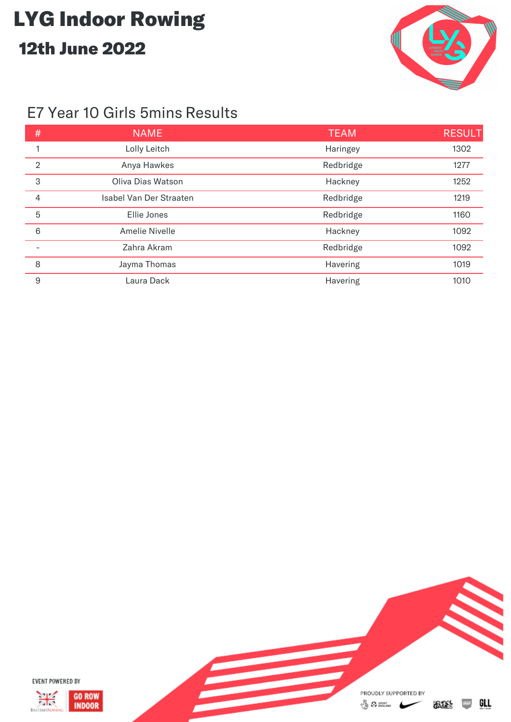

#### E7 Year 10 Girls 5mins Results

| #               | <b>NAME</b>             | <b>TEAM</b> | <b>RESULT</b> |
|-----------------|-------------------------|-------------|---------------|
|                 | Lolly Leitch            | Haringey    | 1302          |
| $\overline{2}$  | Anya Hawkes             | Redbridge   | 1277          |
| 3               | Oliva Dias Watson       | Hackney     | 1252          |
| 4               | Isabel Van Der Straaten | Redbridge   | 1219          |
| 5               | Ellie Jones             | Redbridge   | 1160          |
| $6\phantom{1}6$ | <b>Amelie Nivelle</b>   | Hackney     | 1092          |
|                 | Zahra Akram             | Redbridge   | 1092          |
| 8               | Jayma Thomas            | Havering    | 1019          |
| 9               | Laura Dack              | Havering    | 1010          |

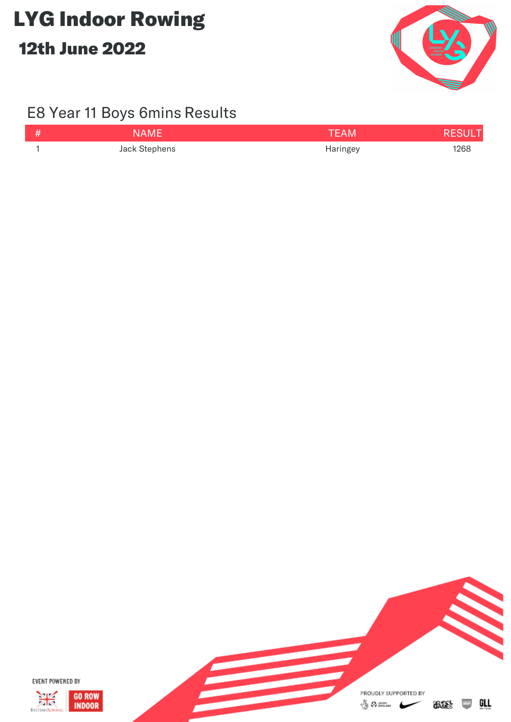

### E8 Year 11 Boys 6mins Results

| LA M H        | <b>AM</b> |      |
|---------------|-----------|------|
| Jack Stephens | Haringey  | 1268 |

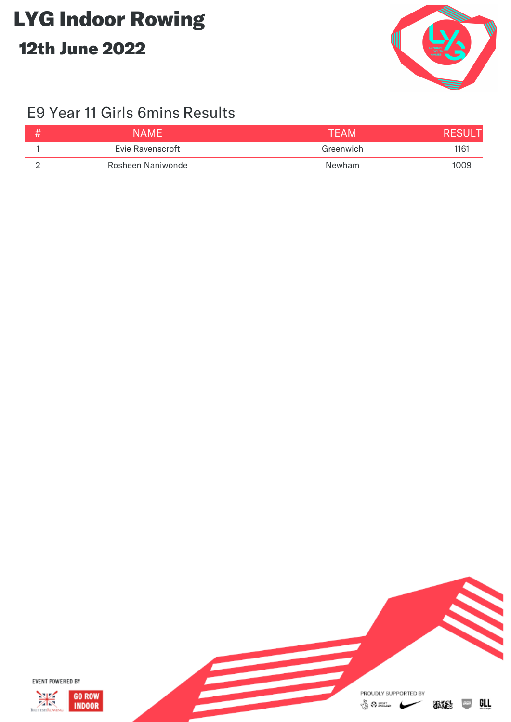

### E9 Year 11 Girls 6mins Results

| NAMF              | TFAM      |      |
|-------------------|-----------|------|
| Evie Ravenscroft  | Greenwich | 1161 |
| Rosheen Naniwonde | Newham    | 1009 |

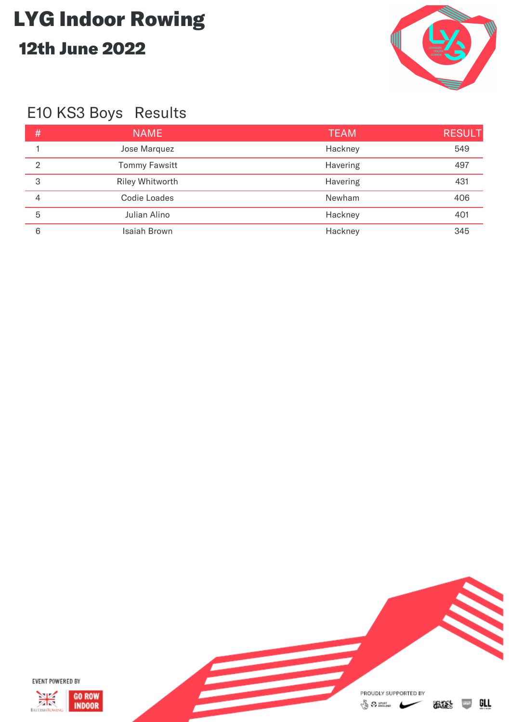

### E10 KS3 Boys Results

| #              | <b>NAME</b>          | <b>TEAM</b> | <b>RESULT</b> |
|----------------|----------------------|-------------|---------------|
|                | Jose Marquez         | Hackney     | 549           |
| $\mathfrak{D}$ | <b>Tommy Fawsitt</b> | Havering    | 497           |
| 3              | Riley Whitworth      | Havering    | 431           |
| 4              | <b>Codie Loades</b>  | Newham      | 406           |
| 5              | Julian Alino         | Hackney     | 401           |
| 6              | <b>Isaiah Brown</b>  | Hackney     | 345           |

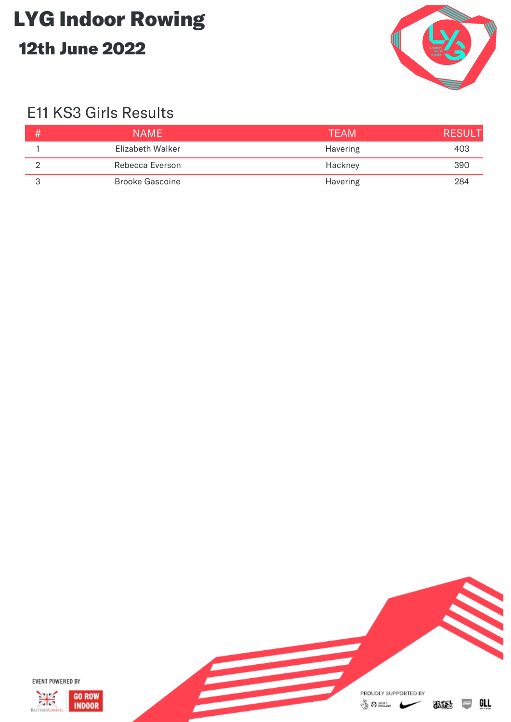

### E11 KS3 Girls Results

| <b>NAME</b>            | <b>TFAM</b> | <b>RESUL</b> |
|------------------------|-------------|--------------|
| Elizabeth Walker       | Havering    | 403          |
| Rebecca Everson        | Hackney     | 390          |
| <b>Brooke Gascoine</b> | Havering    | 284          |

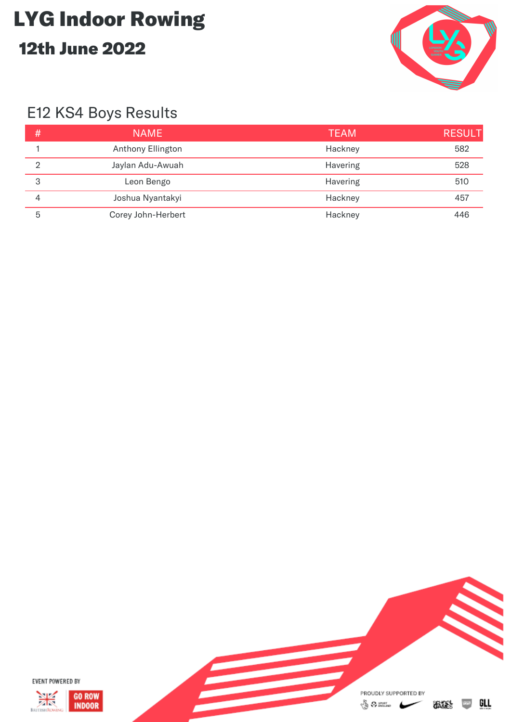

### E12 KS4 Boys Results

| # | <b>NAME</b>        | <b>TEAM</b> | <b>RESULT</b> |
|---|--------------------|-------------|---------------|
|   | Anthony Ellington  | Hackney     | 582           |
| റ | Jaylan Adu-Awuah   | Havering    | 528           |
| 3 | Leon Bengo         | Havering    | 510           |
|   | Joshua Nyantakyi   | Hackney     | 457           |
| 5 | Corey John-Herbert | Hackney     | 446           |

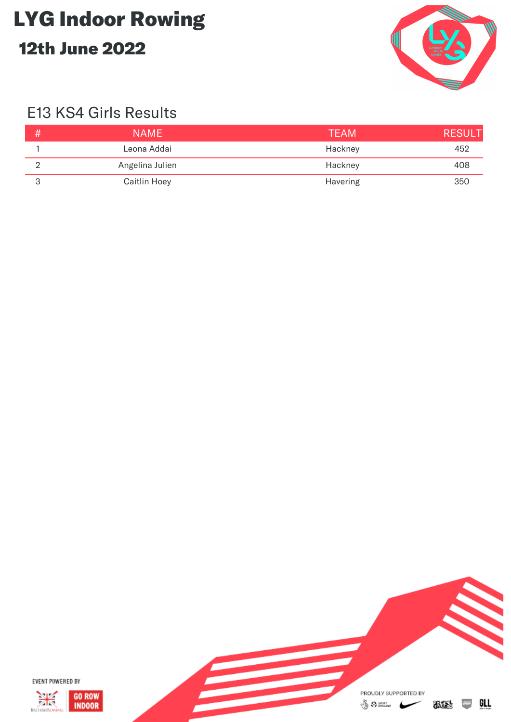

### E13 KS4 Girls Results

| <b>NAME</b>         | <b>TEAM</b> | <b>RESULT</b> |
|---------------------|-------------|---------------|
| Leona Addai         | Hackney     | 452           |
| Angelina Julien     | Hackney     | 408           |
| <b>Caitlin Hoey</b> | Havering    | 350           |

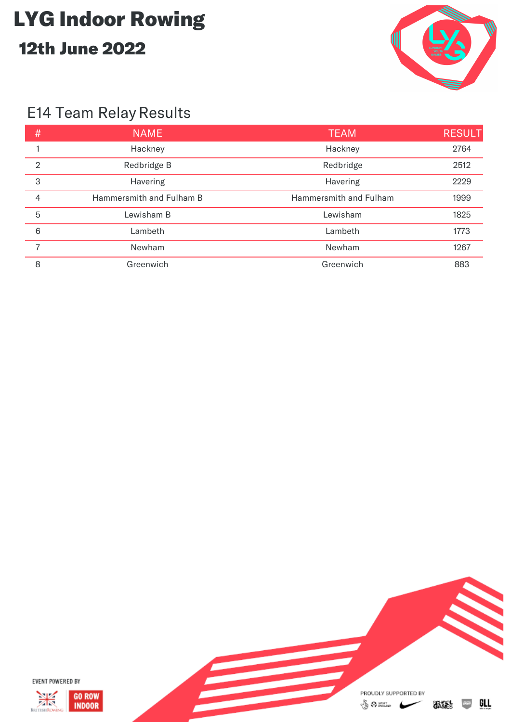

### E14 Team Relay Results

| #              | <b>NAME</b>              | <b>TEAM</b>            | <b>RESULT</b> |
|----------------|--------------------------|------------------------|---------------|
|                | Hackney                  | Hackney                | 2764          |
| $\overline{2}$ | Redbridge B              | Redbridge              | 2512          |
| 3              | Havering                 | Havering               | 2229          |
| 4              | Hammersmith and Fulham B | Hammersmith and Fulham | 1999          |
| 5              | Lewisham B               | Lewisham               | 1825          |
| 6              | Lambeth                  | Lambeth                | 1773          |
|                | Newham                   | Newham                 | 1267          |
| 8              | Greenwich                | Greenwich              | 883           |